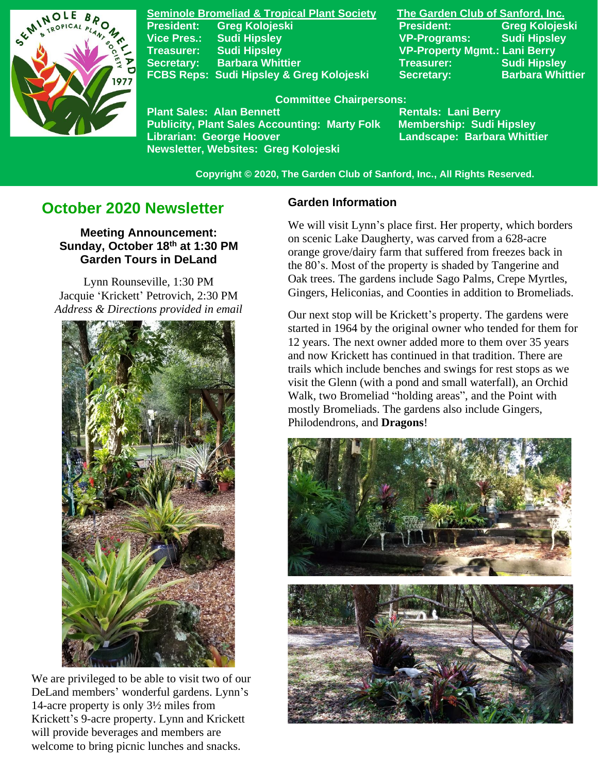

**Seminole Bromeliad & Tropical Plant Society The Garden Club of Sanford, Inc. Vice Pres.: Sudi Hipsley VP-Programs: Sudi Hipsley Treasurer: Sudi Hipsley VP-Property Mgmt.: Lani Berry Secretary:** Barbara Whittier **Treasurer:** Treasurer: Sudi Hipsley FCBS Reps: Sudi Hipsley & Greg Kolojeski Secretary: Barbara Whittier

**President: Greg Kolojeski President: Greg Kolojeski** 

#### **Committee Chairpersons:**

Plant Sales: Alan Bennett<br>Publicity, Plant Sales Accounting: Marty Folk Membership: Sudi Hipsley **Publicity, Plant Sales Accounting: Marty Folk Librarian: George Hoover Landscape: Barbara Whittier Newsletter, Websites: Greg Kolojeski**

 **Copyright © 2020, The Garden Club of Sanford, Inc., All Rights Reserved.**

# **October 2020 Newsletter**

**Meeting Announcement: Sunday, October 18th at 1:30 PM Garden Tours in DeLand**

Lynn Rounseville, 1:30 PM Jacquie 'Krickett' Petrovich, 2:30 PM *Address & Directions provided in email*



We are privileged to be able to visit two of our DeLand members' wonderful gardens. Lynn's 14-acre property is only 3½ miles from Krickett's 9-acre property. Lynn and Krickett will provide beverages and members are welcome to bring picnic lunches and snacks.

#### **Garden Information**

We will visit Lynn's place first. Her property, which borders on scenic Lake Daugherty, was carved from a 628-acre orange grove/dairy farm that suffered from freezes back in the 80's. Most of the property is shaded by Tangerine and Oak trees. The gardens include Sago Palms, Crepe Myrtles, Gingers, Heliconias, and Coonties in addition to Bromeliads.

Our next stop will be Krickett's property. The gardens were started in 1964 by the original owner who tended for them for 12 years. The next owner added more to them over 35 years and now Krickett has continued in that tradition. There are trails which include benches and swings for rest stops as we visit the Glenn (with a pond and small waterfall), an Orchid Walk, two Bromeliad "holding areas", and the Point with mostly Bromeliads. The gardens also include Gingers, Philodendrons, and **Dragons**!